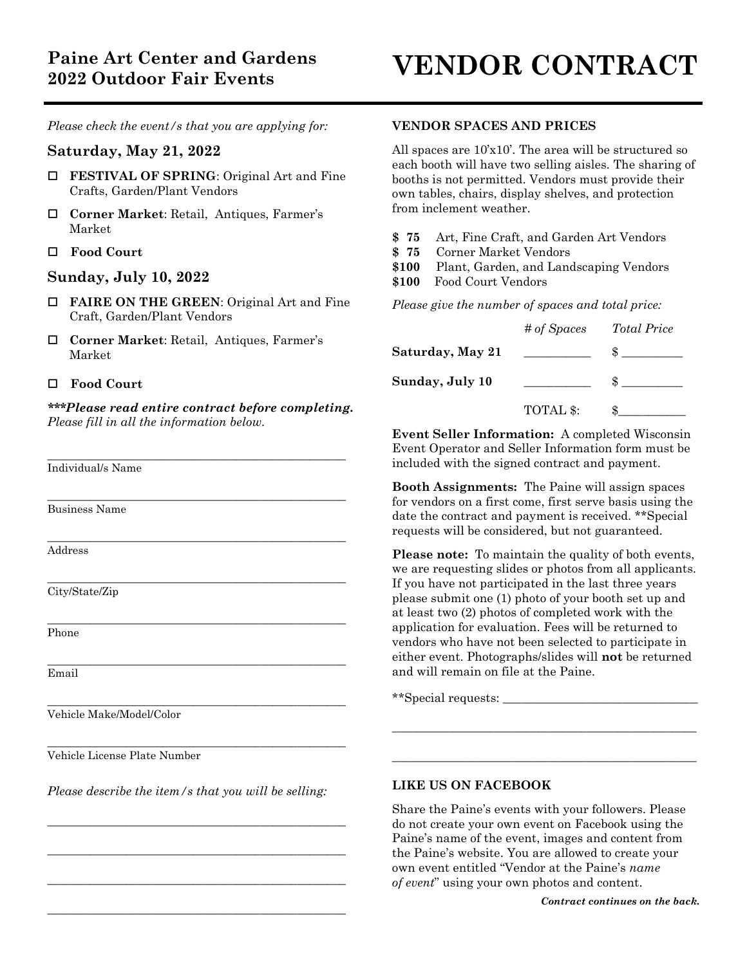*Please check the event/s that you are applying for:*

# **Saturday, May 21, 2022**

- **FESTIVAL OF SPRING:** Original Art and Fine Crafts, Garden/Plant Vendors
- **Corner Market**: Retail, Antiques, Farmer's Market
- **Food Court**

# **Sunday, July 10, 2022**

- **FAIRE ON THE GREEN:** Original Art and Fine Craft, Garden/Plant Vendors
- **Corner Market**: Retail, Antiques, Farmer's Market

### **Food Court**

*\*\*\*Please read entire contract before completing. Please fill in all the information below.*

\_\_\_\_\_\_\_\_\_\_\_\_\_\_\_\_\_\_\_\_\_\_\_\_\_\_\_\_\_\_\_\_\_\_\_\_\_\_\_\_\_\_\_\_\_\_\_\_\_

\_\_\_\_\_\_\_\_\_\_\_\_\_\_\_\_\_\_\_\_\_\_\_\_\_\_\_\_\_\_\_\_\_\_\_\_\_\_\_\_\_\_\_\_\_\_\_\_\_

 $\_$  . The contract of the contract of the contract of the contract of the contract of the contract of the contract of the contract of the contract of the contract of the contract of the contract of the contract of the con

\_\_\_\_\_\_\_\_\_\_\_\_\_\_\_\_\_\_\_\_\_\_\_\_\_\_\_\_\_\_\_\_\_\_\_\_\_\_\_\_\_\_\_\_\_\_\_\_\_

\_\_\_\_\_\_\_\_\_\_\_\_\_\_\_\_\_\_\_\_\_\_\_\_\_\_\_\_\_\_\_\_\_\_\_\_\_\_\_\_\_\_\_\_\_\_\_\_\_

\_\_\_\_\_\_\_\_\_\_\_\_\_\_\_\_\_\_\_\_\_\_\_\_\_\_\_\_\_\_\_\_\_\_\_\_\_\_\_\_\_\_\_\_\_\_\_\_\_

\_\_\_\_\_\_\_\_\_\_\_\_\_\_\_\_\_\_\_\_\_\_\_\_\_\_\_\_\_\_\_\_\_\_\_\_\_\_\_\_\_\_\_\_\_\_\_\_\_

 $\_$  . The contract of the contract of the contract of the contract of the contract of the contract of the contract of the contract of the contract of the contract of the contract of the contract of the contract of the con

Individual/s Name

Business Name

Address

City/State/Zip

Phone

Email

Vehicle Make/Model/Color

Vehicle License Plate Number

*Please describe the item/s that you will be selling:*

\_\_\_\_\_\_\_\_\_\_\_\_\_\_\_\_\_\_\_\_\_\_\_\_\_\_\_\_\_\_\_\_\_\_\_\_\_\_\_\_\_\_\_\_\_\_\_\_\_

\_\_\_\_\_\_\_\_\_\_\_\_\_\_\_\_\_\_\_\_\_\_\_\_\_\_\_\_\_\_\_\_\_\_\_\_\_\_\_\_\_\_\_\_\_\_\_\_\_

\_\_\_\_\_\_\_\_\_\_\_\_\_\_\_\_\_\_\_\_\_\_\_\_\_\_\_\_\_\_\_\_\_\_\_\_\_\_\_\_\_\_\_\_\_\_\_\_\_

\_\_\_\_\_\_\_\_\_\_\_\_\_\_\_\_\_\_\_\_\_\_\_\_\_\_\_\_\_\_\_\_\_\_\_\_\_\_\_\_\_\_\_\_\_\_\_\_\_

### **VENDOR SPACES AND PRICES**

All spaces are 10'x10'. The area will be structured so each booth will have two selling aisles. The sharing of booths is not permitted. Vendors must provide their own tables, chairs, display shelves, and protection from inclement weather.

- **\$ 75** Art, Fine Craft, and Garden Art Vendors
- **\$ 75** Corner Market Vendors
- **\$100** Plant, Garden, and Landscaping Vendors
- **\$100** Food Court Vendors

*Please give the number of spaces and total price:*

|                  | # of Spaces | <b>Total Price</b> |
|------------------|-------------|--------------------|
| Saturday, May 21 |             |                    |
| Sunday, July 10  |             |                    |
|                  | TOTAL \$:   |                    |

**Event Seller Information:** A completed Wisconsin Event Operator and Seller Information form must be included with the signed contract and payment.

**Booth Assignments:** The Paine will assign spaces for vendors on a first come, first serve basis using the date the contract and payment is received. \*\*Special requests will be considered, but not guaranteed.

**Please note:** To maintain the quality of both events, we are requesting slides or photos from all applicants. If you have not participated in the last three years please submit one (1) photo of your booth set up and at least two (2) photos of completed work with the application for evaluation. Fees will be returned to vendors who have not been selected to participate in either event. Photographs/slides will **not** be returned and will remain on file at the Paine.

 $\overline{\phantom{a}}$  , and the contract of the contract of the contract of the contract of the contract of the contract of the contract of the contract of the contract of the contract of the contract of the contract of the contrac

 $\overline{\phantom{a}}$  , and the contract of the contract of the contract of the contract of the contract of the contract of the contract of the contract of the contract of the contract of the contract of the contract of the contrac

\*\*Special requests:

### **LIKE US ON FACEBOOK**

Share the Paine's events with your followers. Please do not create your own event on Facebook using the Paine's name of the event, images and content from the Paine's website. You are allowed to create your own event entitled "Vendor at the Paine's *name of event*" using your own photos and content.

*Contract continues on the back.*